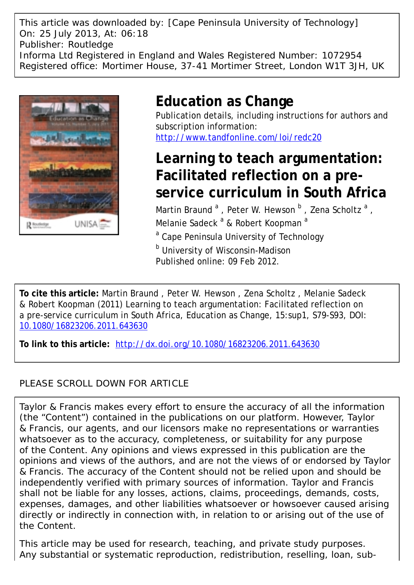This article was downloaded by: [Cape Peninsula University of Technology] On: 25 July 2013, At: 06:18 Publisher: Routledge Informa Ltd Registered in England and Wales Registered Number: 1072954 Registered office: Mortimer House, 37-41 Mortimer Street, London W1T 3JH, UK



## **Education as Change**

Publication details, including instructions for authors and subscription information: <http://www.tandfonline.com/loi/redc20>

# **Learning to teach argumentation: Facilitated reflection on a preservice curriculum in South Africa**

Martin Braund <sup>a</sup>, Peter W. Hewson <sup>b</sup>, Zena Scholtz <sup>a</sup>, Melanie Sadeck <sup>a</sup> & Robert Koopman <sup>a</sup>

<sup>a</sup> Cape Peninsula University of Technology

<sup>b</sup> University of Wisconsin-Madison Published online: 09 Feb 2012.

**To cite this article:** Martin Braund , Peter W. Hewson , Zena Scholtz , Melanie Sadeck & Robert Koopman (2011) Learning to teach argumentation: Facilitated reflection on a pre-service curriculum in South Africa, Education as Change, 15:sup1, S79-S93, DOI: [10.1080/16823206.2011.643630](http://www.tandfonline.com/action/showCitFormats?doi=10.1080/16823206.2011.643630)

**To link to this article:** <http://dx.doi.org/10.1080/16823206.2011.643630>

## PLEASE SCROLL DOWN FOR ARTICLE

Taylor & Francis makes every effort to ensure the accuracy of all the information (the "Content") contained in the publications on our platform. However, Taylor & Francis, our agents, and our licensors make no representations or warranties whatsoever as to the accuracy, completeness, or suitability for any purpose of the Content. Any opinions and views expressed in this publication are the opinions and views of the authors, and are not the views of or endorsed by Taylor & Francis. The accuracy of the Content should not be relied upon and should be independently verified with primary sources of information. Taylor and Francis shall not be liable for any losses, actions, claims, proceedings, demands, costs, expenses, damages, and other liabilities whatsoever or howsoever caused arising directly or indirectly in connection with, in relation to or arising out of the use of the Content.

This article may be used for research, teaching, and private study purposes. Any substantial or systematic reproduction, redistribution, reselling, loan, sub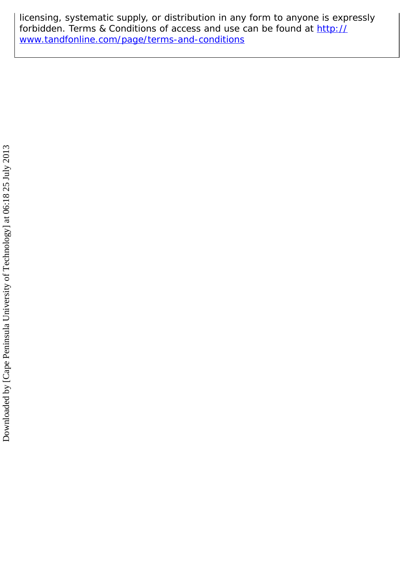licensing, systematic supply, or distribution in any form to anyone is expressly forbidden. Terms & Conditions of access and use can be found at [http://](http://www.tandfonline.com/page/terms-and-conditions) [www.tandfonline.com/page/terms-and-conditions](http://www.tandfonline.com/page/terms-and-conditions)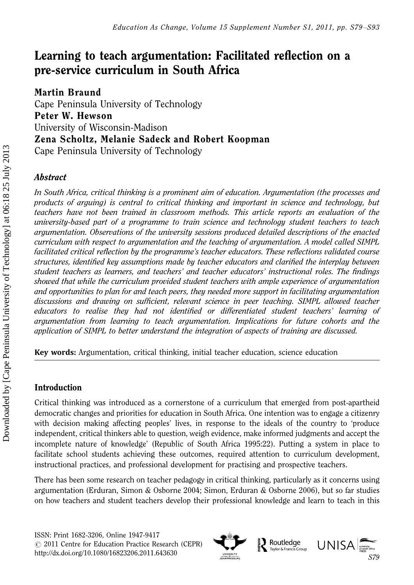## Learning to teach argumentation: Facilitated reflection on a pre-service curriculum in South Africa

Martin Braund Cape Peninsula University of Technology Peter W. Hewson University of Wisconsin-Madison Zena Scholtz, Melanie Sadeck and Robert Koopman Cape Peninsula University of Technology

## **Abstract**

In South Africa, critical thinking is a prominent aim of education. Argumentation (the processes and products of arguing) is central to critical thinking and important in science and technology, but teachers have not been trained in classroom methods. This article reports an evaluation of the university-based part of a programme to train science and technology student teachers to teach argumentation. Observations of the university sessions produced detailed descriptions of the enacted curriculum with respect to argumentation and the teaching of argumentation. A model called SIMPL facilitated critical reflection by the programme's teacher educators. These reflections validated course structures, identified key assumptions made by teacher educators and clarified the interplay between student teachers as learners, and teachers' and teacher educators' instructional roles. The findings showed that while the curriculum provided student teachers with ample experience of argumentation and opportunities to plan for and teach peers, they needed more support in facilitating argumentation discussions and drawing on sufficient, relevant science in peer teaching. SIMPL allowed teacher educators to realise they had not identified or differentiated student teachers' learning of argumentation from learning to teach argumentation. Implications for future cohorts and the application of SIMPL to better understand the integration of aspects of training are discussed.

Key words: Argumentation, critical thinking, initial teacher education, science education

## Introduction

Critical thinking was introduced as a cornerstone of a curriculum that emerged from post-apartheid democratic changes and priorities for education in South Africa. One intention was to engage a citizenry with decision making affecting peoples' lives, in response to the ideals of the country to 'produce independent, critical thinkers able to question, weigh evidence, make informed judgments and accept the incomplete nature of knowledge' (Republic of South Africa 1995:22). Putting a system in place to facilitate school students achieving these outcomes, required attention to curriculum development, instructional practices, and professional development for practising and prospective teachers.

There has been some research on teacher pedagogy in critical thinking, particularly as it concerns using argumentation (Erduran, Simon & Osborne 2004; Simon, Erduran & Osborne 2006), but so far studies on how teachers and student teachers develop their professional knowledge and learn to teach in this

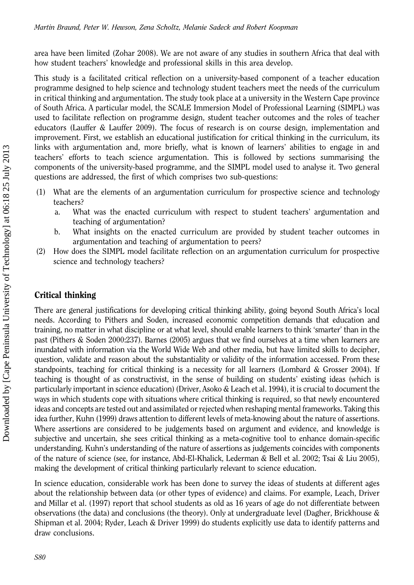area have been limited (Zohar 2008). We are not aware of any studies in southern Africa that deal with how student teachers' knowledge and professional skills in this area develop.

This study is a facilitated critical reflection on a university-based component of a teacher education programme designed to help science and technology student teachers meet the needs of the curriculum in critical thinking and argumentation. The study took place at a university in the Western Cape province of South Africa. A particular model, the SCALE Immersion Model of Professional Learning (SIMPL) was used to facilitate reflection on programme design, student teacher outcomes and the roles of teacher educators (Lauffer & Lauffer 2009). The focus of research is on course design, implementation and improvement. First, we establish an educational justification for critical thinking in the curriculum, its links with argumentation and, more briefly, what is known of learners' abilities to engage in and teachers' efforts to teach science argumentation. This is followed by sections summarising the components of the university-based programme, and the SIMPL model used to analyse it. Two general questions are addressed, the first of which comprises two sub-questions:

- (1) What are the elements of an argumentation curriculum for prospective science and technology teachers?
	- a. What was the enacted curriculum with respect to student teachers' argumentation and teaching of argumentation?
	- b. What insights on the enacted curriculum are provided by student teacher outcomes in argumentation and teaching of argumentation to peers?
- (2) How does the SIMPL model facilitate reflection on an argumentation curriculum for prospective science and technology teachers?

## Critical thinking

There are general justifications for developing critical thinking ability, going beyond South Africa's local needs. According to Pithers and Soden, increased economic competition demands that education and training, no matter in what discipline or at what level, should enable learners to think 'smarter' than in the past (Pithers & Soden 2000:237). Barnes (2005) argues that we find ourselves at a time when learners are inundated with information via the World Wide Web and other media, but have limited skills to decipher, question, validate and reason about the substantiality or validity of the information accessed. From these standpoints, teaching for critical thinking is a necessity for all learners (Lombard  $\&$  Grosser 2004). If teaching is thought of as constructivist, in the sense of building on students' existing ideas (which is particularly important in science education) (Driver, Asoko & Leach et al. 1994), it is crucial to document the ways in which students cope with situations where critical thinking is required, so that newly encountered ideas and concepts are tested out and assimilated or rejected when reshaping mental frameworks. Taking this idea further, Kuhn (1999) draws attention to different levels of meta-knowing about the nature of assertions. Where assertions are considered to be judgements based on argument and evidence, and knowledge is subjective and uncertain, she sees critical thinking as a meta-cognitive tool to enhance domain-specific understanding. Kuhn's understanding of the nature of assertions as judgements coincides with components of the nature of science (see, for instance, Abd-El-Khalick, Lederman & Bell et al. 2002; Tsai & Liu 2005), making the development of critical thinking particularly relevant to science education.

In science education, considerable work has been done to survey the ideas of students at different ages about the relationship between data (or other types of evidence) and claims. For example, Leach, Driver and Millar et al. (1997) report that school students as old as 16 years of age do not differentiate between observations (the data) and conclusions (the theory). Only at undergraduate level (Dagher, Brickhouse  $\&$ Shipman et al. 2004; Ryder, Leach & Driver 1999) do students explicitly use data to identify patterns and draw conclusions.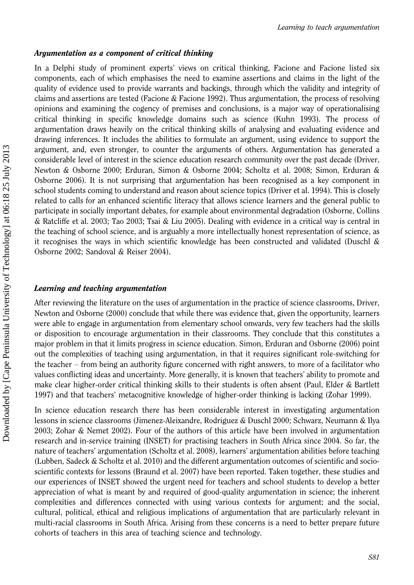#### Argumentation as a component of critical thinking

In a Delphi study of prominent experts' views on critical thinking, Facione and Facione listed six components, each of which emphasises the need to examine assertions and claims in the light of the quality of evidence used to provide warrants and backings, through which the validity and integrity of claims and assertions are tested (Facione & Facione 1992). Thus argumentation, the process of resolving opinions and examining the cogency of premises and conclusions, is a major way of operationalising critical thinking in specific knowledge domains such as science (Kuhn 1993). The process of argumentation draws heavily on the critical thinking skills of analysing and evaluating evidence and drawing inferences. It includes the abilities to formulate an argument, using evidence to support the argument, and, even stronger, to counter the arguments of others. Argumentation has generated a considerable level of interest in the science education research community over the past decade (Driver, Newton & Osborne 2000; Erduran, Simon & Osborne 2004; Scholtz et al. 2008; Simon, Erduran & Osborne 2006). It is not surprising that argumentation has been recognised as a key component in school students coming to understand and reason about science topics (Driver et al. 1994). This is closely related to calls for an enhanced scientific literacy that allows science learners and the general public to participate in socially important debates, for example about environmental degradation (Osborne, Collins & Ratcliffe et al. 2003; Tao 2003; Tsai & Liu 2005). Dealing with evidence in a critical way is central in the teaching of school science, and is arguably a more intellectually honest representation of science, as it recognises the ways in which scientific knowledge has been constructed and validated (Duschl  $\&$ Osborne 2002; Sandoval & Reiser 2004).

#### Learning and teaching argumentation

After reviewing the literature on the uses of argumentation in the practice of science classrooms, Driver, Newton and Osborne (2000) conclude that while there was evidence that, given the opportunity, learners were able to engage in argumentation from elementary school onwards, very few teachers had the skills or disposition to encourage argumentation in their classrooms. They conclude that this constitutes a major problem in that it limits progress in science education. Simon, Erduran and Osborne (2006) point out the complexities of teaching using argumentation, in that it requires significant role-switching for the teacher  $-$  from being an authority figure concerned with right answers, to more of a facilitator who values conflicting ideas and uncertainty. More generally, it is known that teachers' ability to promote and make clear higher-order critical thinking skills to their students is often absent (Paul, Elder & Bartlett 1997) and that teachers' metacognitive knowledge of higher-order thinking is lacking (Zohar 1999).

In science education research there has been considerable interest in investigating argumentation lessons in science classrooms (Jimenez-Aleixandre, Rodriguez & Duschl 2000; Schwarz, Neumann & Ilya 2003; Zohar & Nemet 2002). Four of the authors of this article have been involved in argumentation research and in-service training (INSET) for practising teachers in South Africa since 2004. So far, the nature of teachers' argumentation (Scholtz et al. 2008), learners' argumentation abilities before teaching (Lubben, Sadeck & Scholtz et al. 2010) and the different argumentation outcomes of scientific and socioscientific contexts for lessons (Braund et al. 2007) have been reported. Taken together, these studies and our experiences of INSET showed the urgent need for teachers and school students to develop a better appreciation of what is meant by and required of good-quality argumentation in science; the inherent complexities and differences connected with using various contexts for argument; and the social, cultural, political, ethical and religious implications of argumentation that are particularly relevant in multi-racial classrooms in South Africa. Arising from these concerns is a need to better prepare future cohorts of teachers in this area of teaching science and technology.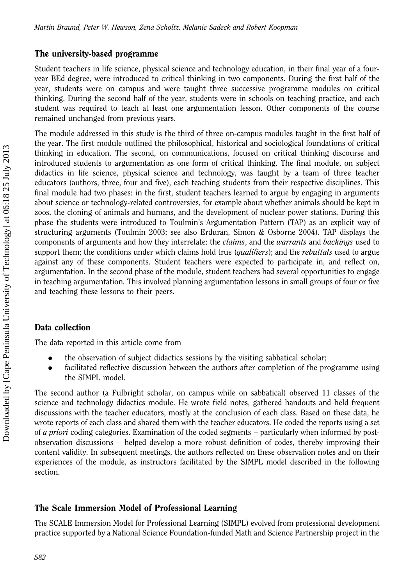#### The university-based programme

Student teachers in life science, physical science and technology education, in their final year of a fouryear BEd degree, were introduced to critical thinking in two components. During the first half of the year, students were on campus and were taught three successive programme modules on critical thinking. During the second half of the year, students were in schools on teaching practice, and each student was required to teach at least one argumentation lesson. Other components of the course remained unchanged from previous years.

The module addressed in this study is the third of three on-campus modules taught in the first half of the year. The first module outlined the philosophical, historical and sociological foundations of critical thinking in education. The second, on communications, focused on critical thinking discourse and introduced students to argumentation as one form of critical thinking. The final module, on subject didactics in life science, physical science and technology, was taught by a team of three teacher educators (authors, three, four and five), each teaching students from their respective disciplines. This final module had two phases: in the first, student teachers learned to argue by engaging in arguments about science or technology-related controversies, for example about whether animals should be kept in zoos, the cloning of animals and humans, and the development of nuclear power stations. During this phase the students were introduced to Toulmin's Argumentation Pattern (TAP) as an explicit way of structuring arguments (Toulmin 2003; see also Erduran, Simon & Osborne 2004). TAP displays the components of arguments and how they interrelate: the *claims*, and the *warrants* and *backings* used to support them; the conditions under which claims hold true (qualifiers); and the *rebuttals* used to argue against any of these components. Student teachers were expected to participate in, and reflect on, argumentation. In the second phase of the module, student teachers had several opportunities to engage in teaching argumentation. This involved planning argumentation lessons in small groups of four or five and teaching these lessons to their peers.

#### Data collection

The data reported in this article come from

- . the observation of subject didactics sessions by the visiting sabbatical scholar;
- . facilitated reflective discussion between the authors after completion of the programme using the SIMPL model.

The second author (a Fulbright scholar, on campus while on sabbatical) observed 11 classes of the science and technology didactics module. He wrote field notes, gathered handouts and held frequent discussions with the teacher educators, mostly at the conclusion of each class. Based on these data, he wrote reports of each class and shared them with the teacher educators. He coded the reports using a set of a priori coding categories. Examination of the coded segments – particularly when informed by postobservation discussions helped develop a more robust definition of codes, thereby improving their content validity. In subsequent meetings, the authors reflected on these observation notes and on their experiences of the module, as instructors facilitated by the SIMPL model described in the following section.

## The Scale Immersion Model of Professional Learning

The SCALE Immersion Model for Professional Learning (SIMPL) evolved from professional development practice supported by a National Science Foundation-funded Math and Science Partnership project in the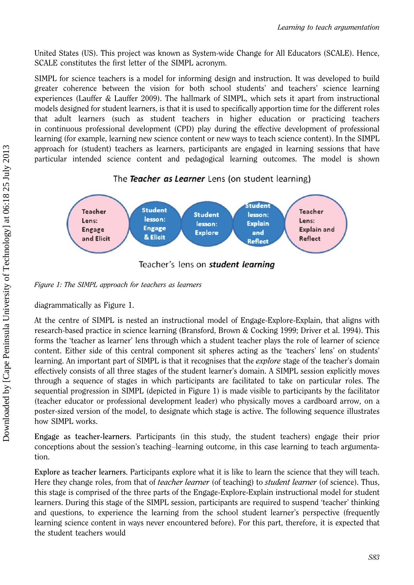United States (US). This project was known as System-wide Change for All Educators (SCALE). Hence, SCALE constitutes the first letter of the SIMPL acronym.

SIMPL for science teachers is a model for informing design and instruction. It was developed to build greater coherence between the vision for both school students' and teachers' science learning experiences (Lauffer & Lauffer 2009). The hallmark of SIMPL, which sets it apart from instructional models designed for student learners, is that it is used to specifically apportion time for the different roles that adult learners (such as student teachers in higher education or practicing teachers in continuous professional development (CPD) play during the effective development of professional learning (for example, learning new science content or new ways to teach science content). In the SIMPL approach for (student) teachers as learners, participants are engaged in learning sessions that have particular intended science content and pedagogical learning outcomes. The model is shown





Figure 1: The SIMPL approach for teachers as learners

diagrammatically as Figure 1.

At the centre of SIMPL is nested an instructional model of Engage-Explore-Explain, that aligns with research-based practice in science learning (Bransford, Brown & Cocking 1999; Driver et al. 1994). This forms the 'teacher as learner' lens through which a student teacher plays the role of learner of science content. Either side of this central component sit spheres acting as the 'teachers' lens' on students' learning. An important part of SIMPL is that it recognises that the *explore* stage of the teacher's domain effectively consists of all three stages of the student learner's domain. A SIMPL session explicitly moves through a sequence of stages in which participants are facilitated to take on particular roles. The sequential progression in SIMPL (depicted in Figure 1) is made visible to participants by the facilitator (teacher educator or professional development leader) who physically moves a cardboard arrow, on a poster-sized version of the model, to designate which stage is active. The following sequence illustrates how SIMPL works.

Engage as teacher-learners. Participants (in this study, the student teachers) engage their prior conceptions about the session's teaching-learning outcome, in this case learning to teach argumentation.

Explore as teacher learners. Participants explore what it is like to learn the science that they will teach. Here they change roles, from that of *teacher learner* (of teaching) to *student learner* (of science). Thus, this stage is comprised of the three parts of the Engage-Explore-Explain instructional model for student learners. During this stage of the SIMPL session, participants are required to suspend 'teacher' thinking and questions, to experience the learning from the school student learner's perspective (frequently learning science content in ways never encountered before). For this part, therefore, it is expected that the student teachers would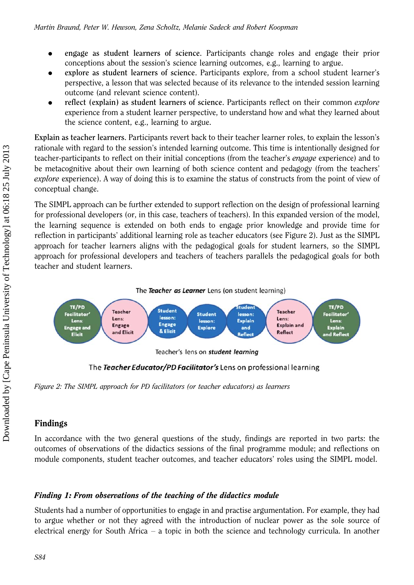- . engage as student learners of science. Participants change roles and engage their prior conceptions about the session's science learning outcomes, e.g., learning to argue.
- . explore as student learners of science. Participants explore, from a school student learner's perspective, a lesson that was selected because of its relevance to the intended session learning outcome (and relevant science content).
- reflect (explain) as student learners of science. Participants reflect on their common explore experience from a student learner perspective, to understand how and what they learned about the science content, e.g., learning to argue.

Explain as teacher learners. Participants revert back to their teacher learner roles, to explain the lesson's rationale with regard to the session's intended learning outcome. This time is intentionally designed for teacher-participants to reflect on their initial conceptions (from the teacher's *engage* experience) and to be metacognitive about their own learning of both science content and pedagogy (from the teachers' explore experience). A way of doing this is to examine the status of constructs from the point of view of conceptual change.

The SIMPL approach can be further extended to support reflection on the design of professional learning for professional developers (or, in this case, teachers of teachers). In this expanded version of the model, the learning sequence is extended on both ends to engage prior knowledge and provide time for reflection in participants' additional learning role as teacher educators (see Figure 2). Just as the SIMPL approach for teacher learners aligns with the pedagogical goals for student learners, so the SIMPL approach for professional developers and teachers of teachers parallels the pedagogical goals for both teacher and student learners.



The Teacher Educator/PD Facilitator's Lens on professional learning

Figure 2: The SIMPL approach for PD facilitators (or teacher educators) as learners

## Findings

In accordance with the two general questions of the study, findings are reported in two parts: the outcomes of observations of the didactics sessions of the final programme module; and reflections on module components, student teacher outcomes, and teacher educators' roles using the SIMPL model.

## Finding 1: From observations of the teaching of the didactics module

Students had a number of opportunities to engage in and practise argumentation. For example, they had to argue whether or not they agreed with the introduction of nuclear power as the sole source of electrical energy for South Africa  $-$  a topic in both the science and technology curricula. In another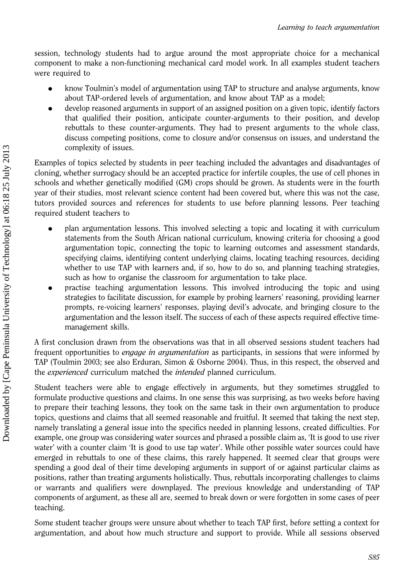session, technology students had to argue around the most appropriate choice for a mechanical component to make a non-functioning mechanical card model work. In all examples student teachers were required to

- . know Toulmin's model of argumentation using TAP to structure and analyse arguments, know about TAP-ordered levels of argumentation, and know about TAP as a model;
- . develop reasoned arguments in support of an assigned position on a given topic, identify factors that qualified their position, anticipate counter-arguments to their position, and develop rebuttals to these counter-arguments. They had to present arguments to the whole class, discuss competing positions, come to closure and/or consensus on issues, and understand the complexity of issues.

Examples of topics selected by students in peer teaching included the advantages and disadvantages of cloning, whether surrogacy should be an accepted practice for infertile couples, the use of cell phones in schools and whether genetically modified (GM) crops should be grown. As students were in the fourth year of their studies, most relevant science content had been covered but, where this was not the case, tutors provided sources and references for students to use before planning lessons. Peer teaching required student teachers to

- . plan argumentation lessons. This involved selecting a topic and locating it with curriculum statements from the South African national curriculum, knowing criteria for choosing a good argumentation topic, connecting the topic to learning outcomes and assessment standards, specifying claims, identifying content underlying claims, locating teaching resources, deciding whether to use TAP with learners and, if so, how to do so, and planning teaching strategies, such as how to organise the classroom for argumentation to take place.
- . practise teaching argumentation lessons. This involved introducing the topic and using strategies to facilitate discussion, for example by probing learners' reasoning, providing learner prompts, re-voicing learners' responses, playing devil's advocate, and bringing closure to the argumentation and the lesson itself. The success of each of these aspects required effective timemanagement skills.

A first conclusion drawn from the observations was that in all observed sessions student teachers had frequent opportunities to *engage in argumentation* as participants, in sessions that were informed by TAP (Toulmin 2003; see also Erduran, Simon & Osborne 2004). Thus, in this respect, the observed and the *experienced* curriculum matched the *intended* planned curriculum.

Student teachers were able to engage effectively in arguments, but they sometimes struggled to formulate productive questions and claims. In one sense this was surprising, as two weeks before having to prepare their teaching lessons, they took on the same task in their own argumentation to produce topics, questions and claims that all seemed reasonable and fruitful. It seemed that taking the next step, namely translating a general issue into the specifics needed in planning lessons, created difficulties. For example, one group was considering water sources and phrased a possible claim as, 'It is good to use river water' with a counter claim 'It is good to use tap water'. While other possible water sources could have emerged in rebuttals to one of these claims, this rarely happened. It seemed clear that groups were spending a good deal of their time developing arguments in support of or against particular claims as positions, rather than treating arguments holistically. Thus, rebuttals incorporating challenges to claims or warrants and qualifiers were downplayed. The previous knowledge and understanding of TAP components of argument, as these all are, seemed to break down or were forgotten in some cases of peer teaching.

Some student teacher groups were unsure about whether to teach TAP first, before setting a context for argumentation, and about how much structure and support to provide. While all sessions observed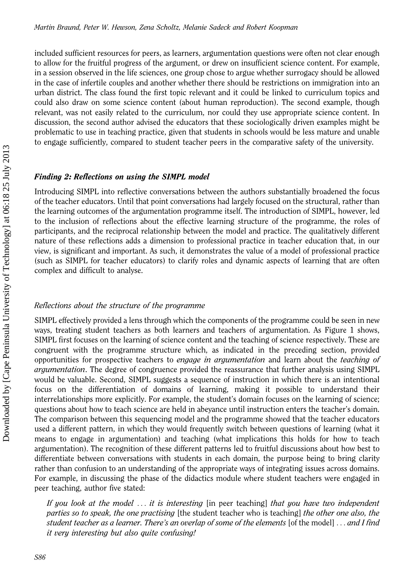included sufficient resources for peers, as learners, argumentation questions were often not clear enough to allow for the fruitful progress of the argument, or drew on insufficient science content. For example, in a session observed in the life sciences, one group chose to argue whether surrogacy should be allowed in the case of infertile couples and another whether there should be restrictions on immigration into an urban district. The class found the first topic relevant and it could be linked to curriculum topics and could also draw on some science content (about human reproduction). The second example, though relevant, was not easily related to the curriculum, nor could they use appropriate science content. In discussion, the second author advised the educators that these sociologically driven examples might be problematic to use in teaching practice, given that students in schools would be less mature and unable to engage sufficiently, compared to student teacher peers in the comparative safety of the university.

#### Finding 2: Reflections on using the SIMPL model

Introducing SIMPL into reflective conversations between the authors substantially broadened the focus of the teacher educators. Until that point conversations had largely focused on the structural, rather than the learning outcomes of the argumentation programme itself. The introduction of SIMPL, however, led to the inclusion of reflections about the effective learning structure of the programme, the roles of participants, and the reciprocal relationship between the model and practice. The qualitatively different nature of these reflections adds a dimension to professional practice in teacher education that, in our view, is significant and important. As such, it demonstrates the value of a model of professional practice (such as SIMPL for teacher educators) to clarify roles and dynamic aspects of learning that are often complex and difficult to analyse.

#### Reflections about the structure of the programme

SIMPL effectively provided a lens through which the components of the programme could be seen in new ways, treating student teachers as both learners and teachers of argumentation. As Figure 1 shows, SIMPL first focuses on the learning of science content and the teaching of science respectively. These are congruent with the programme structure which, as indicated in the preceding section, provided opportunities for prospective teachers to engage in argumentation and learn about the teaching of argumentation. The degree of congruence provided the reassurance that further analysis using SIMPL would be valuable. Second, SIMPL suggests a sequence of instruction in which there is an intentional focus on the differentiation of domains of learning, making it possible to understand their interrelationships more explicitly. For example, the student's domain focuses on the learning of science; questions about how to teach science are held in abeyance until instruction enters the teacher's domain. The comparison between this sequencing model and the programme showed that the teacher educators used a different pattern, in which they would frequently switch between questions of learning (what it means to engage in argumentation) and teaching (what implications this holds for how to teach argumentation). The recognition of these different patterns led to fruitful discussions about how best to differentiate between conversations with students in each domain, the purpose being to bring clarity rather than confusion to an understanding of the appropriate ways of integrating issues across domains. For example, in discussing the phase of the didactics module where student teachers were engaged in peer teaching, author five stated:

If you look at the model ... it is interesting [in peer teaching] that you have two independent parties so to speak, the one practising [the student teacher who is teaching] the other one also, the student teacher as a learner. There's an overlap of some of the elements [of the model] ... and I find it very interesting but also quite confusing!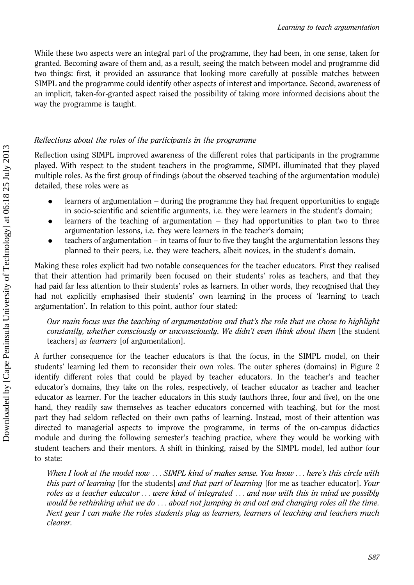While these two aspects were an integral part of the programme, they had been, in one sense, taken for granted. Becoming aware of them and, as a result, seeing the match between model and programme did two things: first, it provided an assurance that looking more carefully at possible matches between SIMPL and the programme could identify other aspects of interest and importance. Second, awareness of an implicit, taken-for-granted aspect raised the possibility of taking more informed decisions about the way the programme is taught.

#### Reflections about the roles of the participants in the programme

Reflection using SIMPL improved awareness of the different roles that participants in the programme played. With respect to the student teachers in the programme, SIMPL illuminated that they played multiple roles. As the first group of findings (about the observed teaching of the argumentation module) detailed, these roles were as

- $\ell$  learners of argumentation  $-\ell$  during the programme they had frequent opportunities to engage in socio-scientific and scientific arguments, i.e. they were learners in the student's domain;
- learners of the teaching of argumentation  $-$  they had opportunities to plan two to three argumentation lessons, i.e. they were learners in the teacher's domain;
- $\bullet$  teachers of argumentation in teams of four to five they taught the argumentation lessons they planned to their peers, i.e. they were teachers, albeit novices, in the student's domain.

Making these roles explicit had two notable consequences for the teacher educators. First they realised that their attention had primarily been focused on their students' roles as teachers, and that they had paid far less attention to their students' roles as learners. In other words, they recognised that they had not explicitly emphasised their students' own learning in the process of 'learning to teach argumentation'. In relation to this point, author four stated:

Our main focus was the teaching of argumentation and that's the role that we chose to highlight constantly, whether consciously or unconsciously. We didn't even think about them [the student teachers] as learners [of argumentation].

A further consequence for the teacher educators is that the focus, in the SIMPL model, on their students' learning led them to reconsider their own roles. The outer spheres (domains) in Figure 2 identify different roles that could be played by teacher educators. In the teacher's and teacher educator's domains, they take on the roles, respectively, of teacher educator as teacher and teacher educator as learner. For the teacher educators in this study (authors three, four and five), on the one hand, they readily saw themselves as teacher educators concerned with teaching, but for the most part they had seldom reflected on their own paths of learning. Instead, most of their attention was directed to managerial aspects to improve the programme, in terms of the on-campus didactics module and during the following semester's teaching practice, where they would be working with student teachers and their mentors. A shift in thinking, raised by the SIMPL model, led author four to state:

When I look at the model now ... SIMPL kind of makes sense. You know ... here's this circle with this part of learning [for the students] and that part of learning [for me as teacher educator]. Your roles as a teacher educator... were kind of integrated ... and now with this in mind we possibly would be rethinking what we do ... about not jumping in and out and changing roles all the time. Next year I can make the roles students play as learners, learners of teaching and teachers much clearer.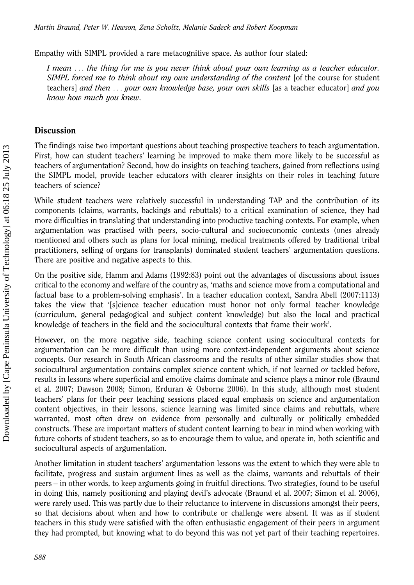Empathy with SIMPL provided a rare metacognitive space. As author four stated:

I mean ... the thing for me is you never think about your own learning as a teacher educator. SIMPL forced me to think about my own understanding of the content [of the course for student teachers] and then ... your own knowledge base, your own skills [as a teacher educator] and you know how much you knew.

#### Discussion

The findings raise two important questions about teaching prospective teachers to teach argumentation. First, how can student teachers' learning be improved to make them more likely to be successful as teachers of argumentation? Second, how do insights on teaching teachers, gained from reflections using the SIMPL model, provide teacher educators with clearer insights on their roles in teaching future teachers of science?

While student teachers were relatively successful in understanding TAP and the contribution of its components (claims, warrants, backings and rebuttals) to a critical examination of science, they had more difficulties in translating that understanding into productive teaching contexts. For example, when argumentation was practised with peers, socio-cultural and socioeconomic contexts (ones already mentioned and others such as plans for local mining, medical treatments offered by traditional tribal practitioners, selling of organs for transplants) dominated student teachers' argumentation questions. There are positive and negative aspects to this.

On the positive side, Hamm and Adams (1992:83) point out the advantages of discussions about issues critical to the economy and welfare of the country as, 'maths and science move from a computational and factual base to a problem-solving emphasis'. In a teacher education context, Sandra Abell (2007:1113) takes the view that '[s]cience teacher education must honor not only formal teacher knowledge (curriculum, general pedagogical and subject content knowledge) but also the local and practical knowledge of teachers in the field and the sociocultural contexts that frame their work'.

However, on the more negative side, teaching science content using sociocultural contexts for argumentation can be more difficult than using more context-independent arguments about science concepts. Our research in South African classrooms and the results of other similar studies show that sociocultural argumentation contains complex science content which, if not learned or tackled before, results in lessons where superficial and emotive claims dominate and science plays a minor role (Braund et al. 2007; Dawson 2008; Simon, Erduran & Osborne 2006). In this study, although most student teachers' plans for their peer teaching sessions placed equal emphasis on science and argumentation content objectives, in their lessons, science learning was limited since claims and rebuttals, where warranted, most often drew on evidence from personally and culturally or politically embedded constructs. These are important matters of student content learning to bear in mind when working with future cohorts of student teachers, so as to encourage them to value, and operate in, both scientific and sociocultural aspects of argumentation.

Another limitation in student teachers' argumentation lessons was the extent to which they were able to facilitate, progress and sustain argument lines as well as the claims, warrants and rebuttals of their peers in other words, to keep arguments going in fruitful directions. Two strategies, found to be useful in doing this, namely positioning and playing devil's advocate (Braund et al. 2007; Simon et al. 2006), were rarely used. This was partly due to their reluctance to intervene in discussions amongst their peers, so that decisions about when and how to contribute or challenge were absent. It was as if student teachers in this study were satisfied with the often enthusiastic engagement of their peers in argument they had prompted, but knowing what to do beyond this was not yet part of their teaching repertoires.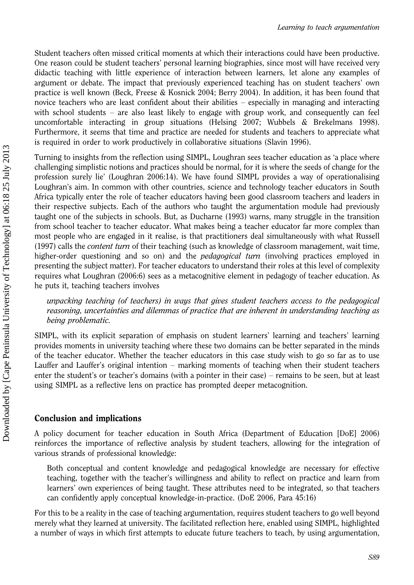Student teachers often missed critical moments at which their interactions could have been productive. One reason could be student teachers' personal learning biographies, since most will have received very didactic teaching with little experience of interaction between learners, let alone any examples of argument or debate. The impact that previously experienced teaching has on student teachers' own practice is well known (Beck, Freese & Kosnick 2004; Berry 2004). In addition, it has been found that novice teachers who are least confident about their abilities – especially in managing and interacting with school students  $-$  are also least likely to engage with group work, and consequently can feel uncomfortable interacting in group situations (Helsing 2007; Wubbels & Brekelmans 1998). Furthermore, it seems that time and practice are needed for students and teachers to appreciate what is required in order to work productively in collaborative situations (Slavin 1996).

Turning to insights from the reflection using SIMPL, Loughran sees teacher education as 'a place where challenging simplistic notions and practices should be normal, for it is where the seeds of change for the profession surely lie' (Loughran 2006:14). We have found SIMPL provides a way of operationalising Loughran's aim. In common with other countries, science and technology teacher educators in South Africa typically enter the role of teacher educators having been good classroom teachers and leaders in their respective subjects. Each of the authors who taught the argumentation module had previously taught one of the subjects in schools. But, as Ducharne (1993) warns, many struggle in the transition from school teacher to teacher educator. What makes being a teacher educator far more complex than most people who are engaged in it realise, is that practitioners deal simultaneously with what Russell (1997) calls the *content turn* of their teaching (such as knowledge of classroom management, wait time, higher-order questioning and so on) and the *pedagogical turn* (involving practices employed in presenting the subject matter). For teacher educators to understand their roles at this level of complexity requires what Loughran (2006:6) sees as a metacognitive element in pedagogy of teacher education. As he puts it, teaching teachers involves

unpacking teaching (of teachers) in ways that gives student teachers access to the pedagogical reasoning, uncertainties and dilemmas of practice that are inherent in understanding teaching as being problematic.

SIMPL, with its explicit separation of emphasis on student learners' learning and teachers' learning provides moments in university teaching where these two domains can be better separated in the minds of the teacher educator. Whether the teacher educators in this case study wish to go so far as to use Lauffer and Lauffer's original intention – marking moments of teaching when their student teachers enter the student's or teacher's domains (with a pointer in their case) – remains to be seen, but at least using SIMPL as a reflective lens on practice has prompted deeper metacognition.

## Conclusion and implications

A policy document for teacher education in South Africa (Department of Education [DoE] 2006) reinforces the importance of reflective analysis by student teachers, allowing for the integration of various strands of professional knowledge:

Both conceptual and content knowledge and pedagogical knowledge are necessary for effective teaching, together with the teacher's willingness and ability to reflect on practice and learn from learners' own experiences of being taught. These attributes need to be integrated, so that teachers can confidently apply conceptual knowledge-in-practice. (DoE 2006, Para 45:16)

For this to be a reality in the case of teaching argumentation, requires student teachers to go well beyond merely what they learned at university. The facilitated reflection here, enabled using SIMPL, highlighted a number of ways in which first attempts to educate future teachers to teach, by using argumentation,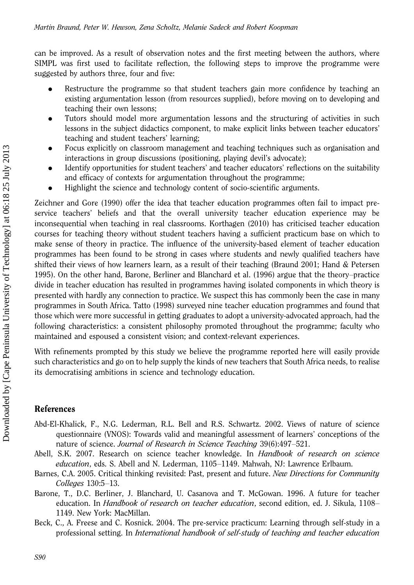can be improved. As a result of observation notes and the first meeting between the authors, where SIMPL was first used to facilitate reflection, the following steps to improve the programme were suggested by authors three, four and five:

- Restructure the programme so that student teachers gain more confidence by teaching an existing argumentation lesson (from resources supplied), before moving on to developing and teaching their own lessons;
- . Tutors should model more argumentation lessons and the structuring of activities in such lessons in the subject didactics component, to make explicit links between teacher educators' teaching and student teachers' learning;
- . Focus explicitly on classroom management and teaching techniques such as organisation and interactions in group discussions (positioning, playing devil's advocate);
- . Identify opportunities for student teachers' and teacher educators' reflections on the suitability and efficacy of contexts for argumentation throughout the programme;
- . Highlight the science and technology content of socio-scientific arguments.

Zeichner and Gore (1990) offer the idea that teacher education programmes often fail to impact preservice teachers' beliefs and that the overall university teacher education experience may be inconsequential when teaching in real classrooms. Korthagen (2010) has criticised teacher education courses for teaching theory without student teachers having a sufficient practicum base on which to make sense of theory in practice. The influence of the university-based element of teacher education programmes has been found to be strong in cases where students and newly qualified teachers have shifted their views of how learners learn, as a result of their teaching (Braund 2001; Hand & Petersen 1995). On the other hand, Barone, Berliner and Blanchard et al. (1996) argue that the theory-practice divide in teacher education has resulted in programmes having isolated components in which theory is presented with hardly any connection to practice. We suspect this has commonly been the case in many programmes in South Africa. Tatto (1998) surveyed nine teacher education programmes and found that those which were more successful in getting graduates to adopt a university-advocated approach, had the following characteristics: a consistent philosophy promoted throughout the programme; faculty who maintained and espoused a consistent vision; and context-relevant experiences.

With refinements prompted by this study we believe the programme reported here will easily provide such characteristics and go on to help supply the kinds of new teachers that South Africa needs, to realise its democratising ambitions in science and technology education.

## References

- Abd-El-Khalick, F., N.G. Lederman, R.L. Bell and R.S. Schwartz. 2002. Views of nature of science questionnaire (VNOS): Towards valid and meaningful assessment of learners' conceptions of the nature of science. Journal of Research in Science Teaching 39(6):497-521.
- Abell, S.K. 2007. Research on science teacher knowledge. In *Handbook of research on science* education, eds. S. Abell and N. Lederman, 1105-1149. Mahwah, NJ: Lawrence Erlbaum.
- Barnes, C.A. 2005. Critical thinking revisited: Past, present and future. New Directions for Community Colleges  $130:5-13$ .
- Barone, T., D.C. Berliner, J. Blanchard, U. Casanova and T. McGowan. 1996. A future for teacher education. In *Handbook of research on teacher education*, second edition, ed. J. Sikula, 1108– 1149. New York: MacMillan.
- Beck, C., A. Freese and C. Kosnick. 2004. The pre-service practicum: Learning through self-study in a professional setting. In International handbook of self-study of teaching and teacher education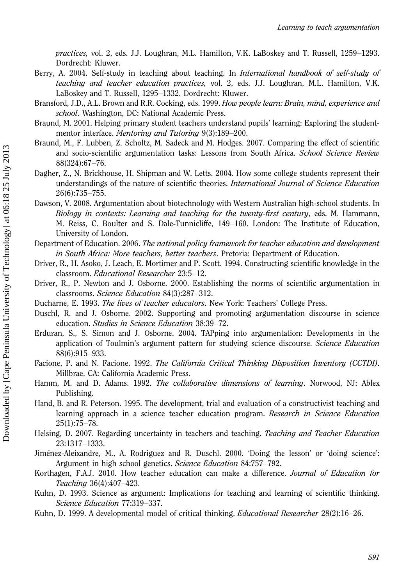practices, vol. 2, eds. J.J. Loughran, M.L. Hamilton, V.K. LaBoskey and T. Russell, 1259–1293. Dordrecht: Kluwer.

- Berry, A. 2004. Self-study in teaching about teaching. In *International handbook of self-study of* teaching and teacher education practices, vol. 2, eds. J.J. Loughran, M.L. Hamilton, V.K. LaBoskey and T. Russell, 1295-1332. Dordrecht: Kluwer.
- Bransford, J.D., A.L. Brown and R.R. Cocking, eds. 1999. How people learn: Brain, mind, experience and school. Washington, DC: National Academic Press.
- Braund, M. 2001. Helping primary student teachers understand pupils' learning: Exploring the studentmentor interface. Mentoring and Tutoring 9(3):189-200.
- Braund, M., F. Lubben, Z. Scholtz, M. Sadeck and M. Hodges. 2007. Comparing the effect of scientific and socio-scientific argumentation tasks: Lessons from South Africa. School Science Review 88(324):67-76.
- Dagher, Z., N. Brickhouse, H. Shipman and W. Letts. 2004. How some college students represent their understandings of the nature of scientific theories. International Journal of Science Education  $26(6):735-755.$
- Dawson, V. 2008. Argumentation about biotechnology with Western Australian high-school students. In Biology in contexts: Learning and teaching for the twenty-first century, eds. M. Hammann, M. Reiss, C. Boulter and S. Dale-Tunnicliffe, 149–160. London: The Institute of Education, University of London.
- Department of Education. 2006. The national policy framework for teacher education and development in South Africa: More teachers, better teachers. Pretoria: Department of Education.
- Driver, R., H. Asoko, J. Leach, E. Mortimer and P. Scott. 1994. Constructing scientific knowledge in the classroom. Educational Researcher 23:5-12.
- Driver, R., P. Newton and J. Osborne. 2000. Establishing the norms of scientific argumentation in classrooms. Science Education 84(3):287-312.
- Ducharne, E. 1993. The lives of teacher educators. New York: Teachers' College Press.
- Duschl, R. and J. Osborne. 2002. Supporting and promoting argumentation discourse in science education. Studies in Science Education 38:39-72.
- Erduran, S., S. Simon and J. Osborne. 2004. TAPping into argumentation: Developments in the application of Toulmin's argument pattern for studying science discourse. Science Education 88(6):915-933.
- Facione, P. and N. Facione. 1992. The California Critical Thinking Disposition Inventory (CCTDI). Millbrae, CA: California Academic Press.
- Hamm, M. and D. Adams. 1992. The collaborative dimensions of learning. Norwood, NJ: Ablex Publishing.
- Hand, B. and R. Peterson. 1995. The development, trial and evaluation of a constructivist teaching and learning approach in a science teacher education program. Research in Science Education  $25(1):75-78.$
- Helsing, D. 2007. Regarding uncertainty in teachers and teaching. Teaching and Teacher Education 23:1317-1333.
- Jiménez-Aleixandre, M., A. Rodriguez and R. Duschl. 2000. 'Doing the lesson' or 'doing science': Argument in high school genetics. Science Education 84:757-792.
- Korthagen, F.A.J. 2010. How teacher education can make a difference. Journal of Education for Teaching 36(4):407-423.
- Kuhn, D. 1993. Science as argument: Implications for teaching and learning of scientific thinking. Science Education 77:319-337.
- Kuhn, D. 1999. A developmental model of critical thinking. *Educational Researcher* 28(2):16–26.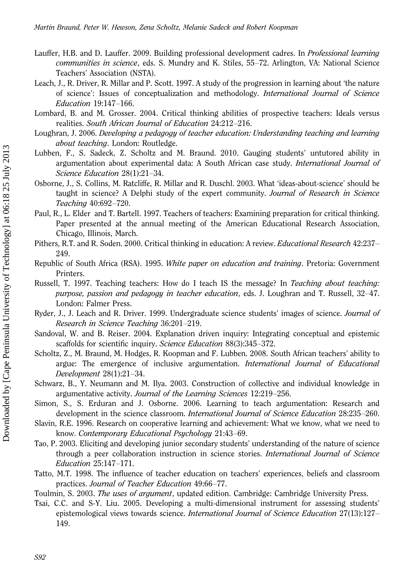- Lauffer, H.B. and D. Lauffer. 2009. Building professional development cadres. In Professional learning communities in science, eds. S. Mundry and K. Stiles, 55–72. Arlington, VA: National Science Teachers' Association (NSTA).
- Leach, J., R. Driver, R. Millar and P. Scott. 1997. A study of the progression in learning about 'the nature of science': Issues of conceptualization and methodology. International Journal of Science  $Education$  19:147-166.
- Lombard, B. and M. Grosser. 2004. Critical thinking abilities of prospective teachers: Ideals versus realities. South African Journal of Education 24:212-216.
- Loughran, J. 2006. Developing a pedagogy of teacher education: Understanding teaching and learning about teaching. London: Routledge.
- Lubben, F., S. Sadeck, Z. Scholtz and M. Braund. 2010. Gauging students' untutored ability in argumentation about experimental data: A South African case study. International Journal of Science Education 28(1):21-34.
- Osborne, J., S. Collins, M. Ratcliffe, R. Millar and R. Duschl. 2003. What 'ideas-about-science' should be taught in science? A Delphi study of the expert community. Journal of Research in Science Teaching 40:692-720.
- Paul, R., L. Elder and T. Bartell. 1997. Teachers of teachers: Examining preparation for critical thinking. Paper presented at the annual meeting of the American Educational Research Association, Chicago, Illinois, March.
- Pithers, R.T. and R. Soden. 2000. Critical thinking in education: A review. *Educational Research* 42:237– 249.
- Republic of South Africa (RSA). 1995. White paper on education and training. Pretoria: Government Printers.
- Russell, T. 1997. Teaching teachers: How do I teach IS the message? In Teaching about teaching: purpose, passion and pedagogy in teacher education, eds. J. Loughran and T. Russell, 32–47. London: Falmer Press.
- Ryder, J., J. Leach and R. Driver. 1999. Undergraduate science students' images of science. Journal of Research in Science Teaching 36:201-219.
- Sandoval, W. and B. Reiser. 2004. Explanation driven inquiry: Integrating conceptual and epistemic scaffolds for scientific inquiry. Science Education 88(3):345-372.
- Scholtz, Z., M. Braund, M. Hodges, R. Koopman and F. Lubben. 2008. South African teachers' ability to argue: The emergence of inclusive argumentation. International Journal of Educational Development  $28(1):21-34$ .
- Schwarz, B., Y. Neumann and M. Ilya. 2003. Construction of collective and individual knowledge in argumentative activity. Journal of the Learning Sciences 12:219–256.
- Simon, S., S. Erduran and J. Osborne. 2006. Learning to teach argumentation: Research and development in the science classroom. International Journal of Science Education 28:235-260.
- Slavin, R.E. 1996. Research on cooperative learning and achievement: What we know, what we need to know. Contemporary Educational Psychology 21:43-69.
- Tao, P. 2003. Eliciting and developing junior secondary students' understanding of the nature of science through a peer collaboration instruction in science stories. *International Journal of Science*  $Education 25:147-171.$
- Tatto, M.T. 1998. The influence of teacher education on teachers' experiences, beliefs and classroom practices. Journal of Teacher Education 49:66-77.
- Toulmin, S. 2003. The uses of argument, updated edition. Cambridge: Cambridge University Press.
- Tsai, C.C. and S-Y. Liu. 2005. Developing a multi-dimensional instrument for assessing students' epistemological views towards science. International Journal of Science Education 27(13):127-149.